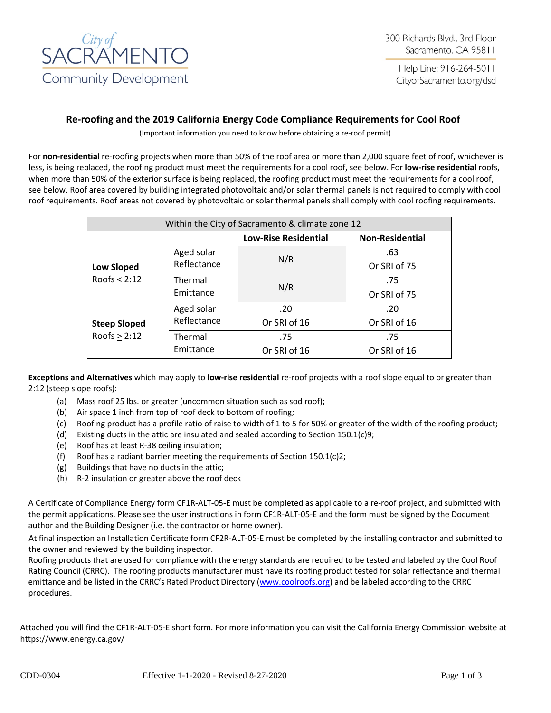

Help Line: 916-264-5011 CityofSacramento.org/dsd

# **Re-roofing and the 2019 California Energy Code Compliance Requirements for Cool Roof**

(Important information you need to know before obtaining a re-roof permit)

For **non-residential** re-roofing projects when more than 50% of the roof area or more than 2,000 square feet of roof, whichever is less, is being replaced, the roofing product must meet the requirements for a cool roof, see below. For **low-rise residential** roofs, when more than 50% of the exterior surface is being replaced, the roofing product must meet the requirements for a cool roof, see below. Roof area covered by building integrated photovoltaic and/or solar thermal panels is not required to comply with cool roof requirements. Roof areas not covered by photovoltaic or solar thermal panels shall comply with cool roofing requirements.

| Within the City of Sacramento & climate zone 12 |             |                             |                        |  |  |
|-------------------------------------------------|-------------|-----------------------------|------------------------|--|--|
|                                                 |             | <b>Low-Rise Residential</b> | <b>Non-Residential</b> |  |  |
|                                                 | Aged solar  | N/R                         | .63                    |  |  |
| <b>Low Sloped</b>                               | Reflectance |                             | Or SRI of 75           |  |  |
| Roofs $<$ 2:12                                  | Thermal     | N/R                         | .75                    |  |  |
|                                                 | Emittance   |                             | Or SRI of 75           |  |  |
|                                                 | Aged solar  | .20                         | .20                    |  |  |
| <b>Steep Sloped</b>                             | Reflectance | Or SRI of 16                | Or SRI of 16           |  |  |
| Roofs $> 2:12$                                  | Thermal     | .75                         | .75                    |  |  |
|                                                 | Emittance   | Or SRI of 16                | Or SRI of 16           |  |  |

**Exceptions and Alternatives** which may apply to **low-rise residential** re-roof projects with a roof slope equal to or greater than 2:12 (steep slope roofs):

- (a) Mass roof 25 lbs. or greater (uncommon situation such as sod roof);
- (b) Air space 1 inch from top of roof deck to bottom of roofing;
- (c) Roofing product has a profile ratio of raise to width of 1 to 5 for 50% or greater of the width of the roofing product;
- (d) Existing ducts in the attic are insulated and sealed according to Section 150.1(c)9;
- (e) Roof has at least R-38 ceiling insulation;
- (f) Roof has a radiant barrier meeting the requirements of Section 150.1(c)2;
- (g) Buildings that have no ducts in the attic;
- (h) R-2 insulation or greater above the roof deck

A Certificate of Compliance Energy form CF1R-ALT-05-E must be completed as applicable to a re-roof project, and submitted with the permit applications. Please see the user instructions in form CF1R-ALT-05-E and the form must be signed by the Document author and the Building Designer (i.e. the contractor or home owner).

At final inspection an Installation Certificate form CF2R-ALT-05-E must be completed by the installing contractor and submitted to the owner and reviewed by the building inspector.

Roofing products that are used for compliance with the energy standards are required to be tested and labeled by the Cool Roof Rating Council (CRRC). The roofing products manufacturer must have its roofing product tested for solar reflectance and thermal emittance and be listed in the CRRC's Rated Product Directory [\(www.coolroofs.org\)](http://www.coolroofs.org/) and be labeled according to the CRRC procedures.

Attached you will find the CF1R-ALT-05-E short form. For more information you can visit the California Energy Commission website at https://www.energy.ca.gov/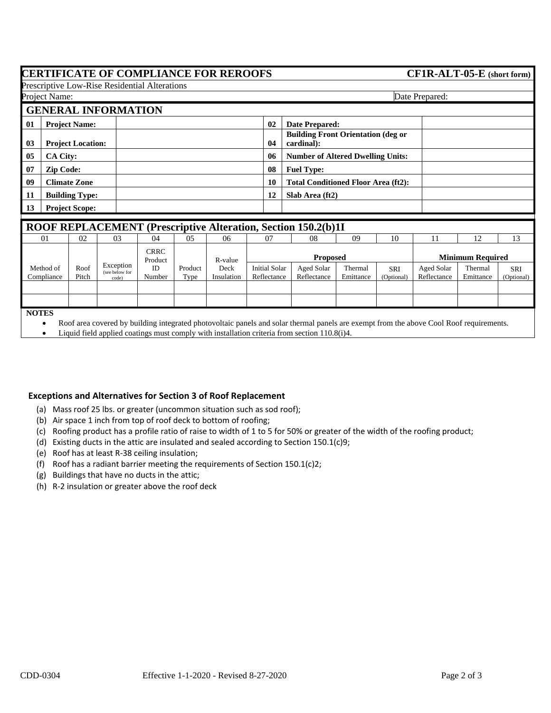## **CERTIFICATE OF COMPLIANCE FOR REROOFS**

Prescriptive Low-Rise Residential Alterations

| $CF1R-ALT-05-E$ (short form) |  |
|------------------------------|--|
|------------------------------|--|

|                                                                                                 | Project Name:                                              |                       | $\ldots$                             |                                            |                         |                       |                                     |                           |                      |                   | Date Prepared:            |                         |                          |  |
|-------------------------------------------------------------------------------------------------|------------------------------------------------------------|-----------------------|--------------------------------------|--------------------------------------------|-------------------------|-----------------------|-------------------------------------|---------------------------|----------------------|-------------------|---------------------------|-------------------------|--------------------------|--|
|                                                                                                 |                                                            |                       | <b>GENERAL INFORMATION</b>           |                                            |                         |                       |                                     |                           |                      |                   |                           |                         |                          |  |
| 01                                                                                              | <b>Project Name:</b>                                       |                       |                                      |                                            | 02                      | <b>Date Prepared:</b> |                                     |                           |                      |                   |                           |                         |                          |  |
| <b>Building Front Orientation (deg or</b><br>03<br>cardinal):<br><b>Project Location:</b><br>04 |                                                            |                       |                                      |                                            |                         |                       |                                     |                           |                      |                   |                           |                         |                          |  |
| 05                                                                                              | CA City:<br>06<br><b>Number of Altered Dwelling Units:</b> |                       |                                      |                                            |                         |                       |                                     |                           |                      |                   |                           |                         |                          |  |
| 07                                                                                              | <b>Zip Code:</b>                                           |                       |                                      |                                            | 08<br><b>Fuel Type:</b> |                       |                                     |                           |                      |                   |                           |                         |                          |  |
| 09<br><b>Climate Zone</b>                                                                       |                                                            |                       | 10                                   | <b>Total Conditioned Floor Area (ft2):</b> |                         |                       |                                     |                           |                      |                   |                           |                         |                          |  |
| 11                                                                                              |                                                            | <b>Building Type:</b> |                                      |                                            |                         |                       | 12                                  | Slab Area (ft2)           |                      |                   |                           |                         |                          |  |
| 13                                                                                              |                                                            | <b>Project Scope:</b> |                                      |                                            |                         |                       |                                     |                           |                      |                   |                           |                         |                          |  |
| ROOF REPLACEMENT (Prescriptive Alteration, Section 150.2(b)1I                                   |                                                            |                       |                                      |                                            |                         |                       |                                     |                           |                      |                   |                           |                         |                          |  |
|                                                                                                 | 01                                                         | 02                    | 03                                   | 04                                         | 05                      | 06                    | 07                                  | 08                        | 09                   | 10                | 11                        | 12                      | 13                       |  |
|                                                                                                 |                                                            |                       |                                      | <b>CRRC</b><br>Product                     |                         | R-value               |                                     | <b>Proposed</b>           |                      |                   |                           | <b>Minimum Required</b> |                          |  |
|                                                                                                 | Method of<br>Compliance                                    | Roof<br>Pitch         | Exception<br>(see below for<br>code) | ID<br>Number                               | Product<br>Type         | Deck<br>Insulation    | <b>Initial Solar</b><br>Reflectance | Aged Solar<br>Reflectance | Thermal<br>Emittance | SRI<br>(Optional) | Aged Solar<br>Reflectance | Thermal<br>Emittance    | <b>SRI</b><br>(Optional) |  |
|                                                                                                 |                                                            |                       |                                      |                                            |                         |                       |                                     |                           |                      |                   |                           |                         |                          |  |

#### **NOTES**

• Roof area covered by building integrated photovoltaic panels and solar thermal panels are exempt from the above Cool Roof requirements.

• Liquid field applied coatings must comply with installation criteria from section 110.8(i)4.

### **Exceptions and Alternatives for Section 3 of Roof Replacement**

- (a) Mass roof 25 lbs. or greater (uncommon situation such as sod roof);
- (b) Air space 1 inch from top of roof deck to bottom of roofing;
- (c) Roofing product has a profile ratio of raise to width of 1 to 5 for 50% or greater of the width of the roofing product;
- (d) Existing ducts in the attic are insulated and sealed according to Section 150.1(c)9;
- (e) Roof has at least R-38 ceiling insulation;
- (f) Roof has a radiant barrier meeting the requirements of Section 150.1(c)2;
- (g) Buildings that have no ducts in the attic;
- (h) R-2 insulation or greater above the roof deck